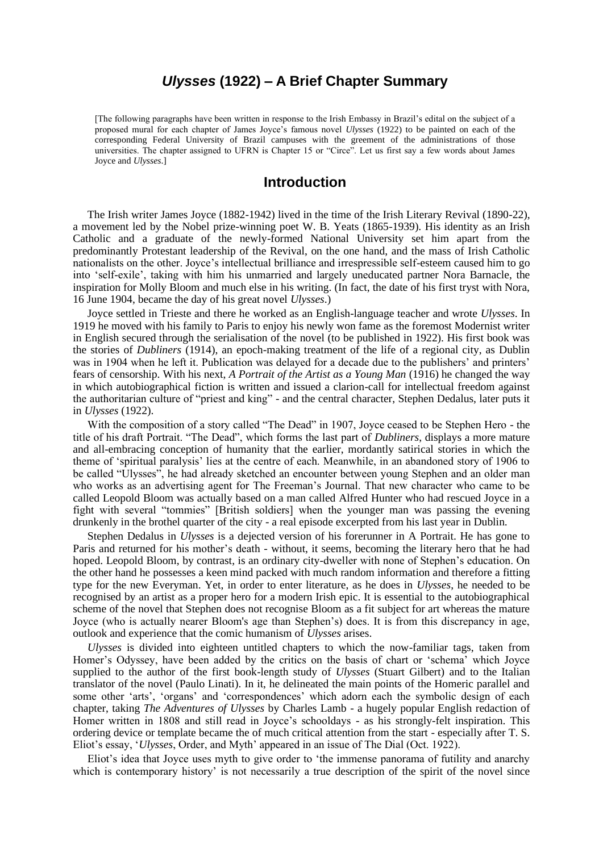# *Ulysses* **(1922) – A Brief Chapter Summary**

[The following paragraphs have been written in response to the Irish Embassy in Brazil's edital on the subject of a proposed mural for each chapter of James Joyce's famous novel *Ulysses* (1922) to be painted on each of the corresponding Federal University of Brazil campuses with the greement of the administrations of those universities. The chapter assigned to UFRN is Chapter 15 or "Circe". Let us first say a few words about James Joyce and *Ulysses*.]

# **Introduction**

The Irish writer James Joyce (1882-1942) lived in the time of the Irish Literary Revival (1890-22), a movement led by the Nobel prize-winning poet W. B. Yeats (1865-1939). His identity as an Irish Catholic and a graduate of the newly-formed National University set him apart from the predominantly Protestant leadership of the Revival, on the one hand, and the mass of Irish Catholic nationalists on the other. Joyce's intellectual brilliance and irrespressible self-esteem caused him to go into 'self-exile', taking with him his unmarried and largely uneducated partner Nora Barnacle, the inspiration for Molly Bloom and much else in his writing. (In fact, the date of his first tryst with Nora, 16 June 1904, became the day of his great novel *Ulysses*.)

Joyce settled in Trieste and there he worked as an English-language teacher and wrote *Ulysses*. In 1919 he moved with his family to Paris to enjoy his newly won fame as the foremost Modernist writer in English secured through the serialisation of the novel (to be published in 1922). His first book was the stories of *Dubliners* (1914), an epoch-making treatment of the life of a regional city, as Dublin was in 1904 when he left it. Publication was delayed for a decade due to the publishers' and printers' fears of censorship. With his next, *A Portrait of the Artist as a Young Man* (1916) he changed the way in which autobiographical fiction is written and issued a clarion-call for intellectual freedom against the authoritarian culture of "priest and king" - and the central character, Stephen Dedalus, later puts it in *Ulysses* (1922).

With the composition of a story called "The Dead" in 1907, Joyce ceased to be Stephen Hero - the title of his draft Portrait. "The Dead", which forms the last part of *Dubliners*, displays a more mature and all-embracing conception of humanity that the earlier, mordantly satirical stories in which the theme of 'spiritual paralysis' lies at the centre of each. Meanwhile, in an abandoned story of 1906 to be called "Ulysses", he had already sketched an encounter between young Stephen and an older man who works as an advertising agent for The Freeman's Journal. That new character who came to be called Leopold Bloom was actually based on a man called Alfred Hunter who had rescued Joyce in a fight with several "tommies" [British soldiers] when the younger man was passing the evening drunkenly in the brothel quarter of the city - a real episode excerpted from his last year in Dublin.

Stephen Dedalus in *Ulysses* is a dejected version of his forerunner in A Portrait. He has gone to Paris and returned for his mother's death - without, it seems, becoming the literary hero that he had hoped. Leopold Bloom, by contrast, is an ordinary city-dweller with none of Stephen's education. On the other hand he possesses a keen mind packed with much random information and therefore a fitting type for the new Everyman. Yet, in order to enter literature, as he does in *Ulysses*, he needed to be recognised by an artist as a proper hero for a modern Irish epic. It is essential to the autobiographical scheme of the novel that Stephen does not recognise Bloom as a fit subject for art whereas the mature Joyce (who is actually nearer Bloom's age than Stephen's) does. It is from this discrepancy in age, outlook and experience that the comic humanism of *Ulysses* arises.

*Ulysses* is divided into eighteen untitled chapters to which the now-familiar tags, taken from Homer's Odyssey, have been added by the critics on the basis of chart or 'schema' which Joyce supplied to the author of the first book-length study of *Ulysses* (Stuart Gilbert) and to the Italian translator of the novel (Paulo Linati). In it, he delineated the main points of the Homeric parallel and some other 'arts', 'organs' and 'correspondences' which adorn each the symbolic design of each chapter, taking *The Adventures of Ulysses* by Charles Lamb - a hugely popular English redaction of Homer written in 1808 and still read in Joyce's schooldays - as his strongly-felt inspiration. This ordering device or template became the of much critical attention from the start - especially after T. S. Eliot's essay, '*Ulysses*, Order, and Myth' appeared in an issue of The Dial (Oct. 1922).

Eliot's idea that Joyce uses myth to give order to 'the immense panorama of futility and anarchy which is contemporary history' is not necessarily a true description of the spirit of the novel since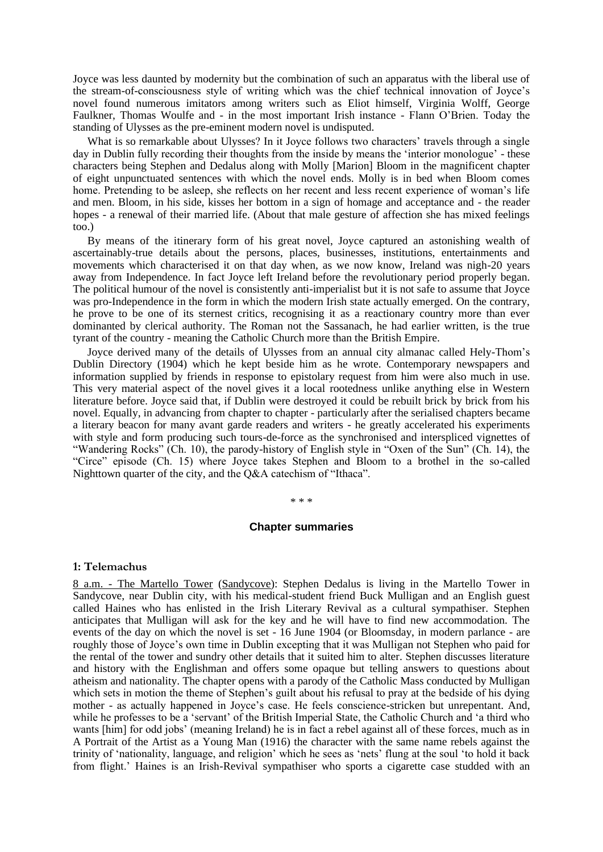Joyce was less daunted by modernity but the combination of such an apparatus with the liberal use of the stream-of-consciousness style of writing which was the chief technical innovation of Joyce's novel found numerous imitators among writers such as Eliot himself, Virginia Wolff, George Faulkner, Thomas Woulfe and - in the most important Irish instance - Flann O'Brien. Today the standing of Ulysses as the pre-eminent modern novel is undisputed.

What is so remarkable about Ulysses? In it Joyce follows two characters' travels through a single day in Dublin fully recording their thoughts from the inside by means the 'interior monologue' - these characters being Stephen and Dedalus along with Molly [Marion] Bloom in the magnificent chapter of eight unpunctuated sentences with which the novel ends. Molly is in bed when Bloom comes home. Pretending to be asleep, she reflects on her recent and less recent experience of woman's life and men. Bloom, in his side, kisses her bottom in a sign of homage and acceptance and - the reader hopes - a renewal of their married life. (About that male gesture of affection she has mixed feelings too.)

By means of the itinerary form of his great novel, Joyce captured an astonishing wealth of ascertainably-true details about the persons, places, businesses, institutions, entertainments and movements which characterised it on that day when, as we now know, Ireland was nigh-20 years away from Independence. In fact Joyce left Ireland before the revolutionary period properly began. The political humour of the novel is consistently anti-imperialist but it is not safe to assume that Joyce was pro-Independence in the form in which the modern Irish state actually emerged. On the contrary, he prove to be one of its sternest critics, recognising it as a reactionary country more than ever dominanted by clerical authority. The Roman not the Sassanach, he had earlier written, is the true tyrant of the country - meaning the Catholic Church more than the British Empire.

Joyce derived many of the details of Ulysses from an annual city almanac called Hely-Thom's Dublin Directory (1904) which he kept beside him as he wrote. Contemporary newspapers and information supplied by friends in response to epistolary request from him were also much in use. This very material aspect of the novel gives it a local rootedness unlike anything else in Western literature before. Joyce said that, if Dublin were destroyed it could be rebuilt brick by brick from his novel. Equally, in advancing from chapter to chapter - particularly after the serialised chapters became a literary beacon for many avant garde readers and writers - he greatly accelerated his experiments with style and form producing such tours-de-force as the synchronised and interspliced vignettes of "Wandering Rocks" (Ch. 10), the parody-history of English style in "Oxen of the Sun" (Ch. 14), the "Circe" episode (Ch. 15) where Joyce takes Stephen and Bloom to a brothel in the so-called Nighttown quarter of the city, and the Q&A catechism of "Ithaca".

\* \* \*

#### **Chapter summaries**

#### **1: Telemachus**

8 a.m. - The Martello Tower (Sandycove): Stephen Dedalus is living in the Martello Tower in Sandycove, near Dublin city, with his medical-student friend Buck Mulligan and an English guest called Haines who has enlisted in the Irish Literary Revival as a cultural sympathiser. Stephen anticipates that Mulligan will ask for the key and he will have to find new accommodation. The events of the day on which the novel is set - 16 June 1904 (or Bloomsday, in modern parlance - are roughly those of Joyce's own time in Dublin excepting that it was Mulligan not Stephen who paid for the rental of the tower and sundry other details that it suited him to alter. Stephen discusses literature and history with the Englishman and offers some opaque but telling answers to questions about atheism and nationality. The chapter opens with a parody of the Catholic Mass conducted by Mulligan which sets in motion the theme of Stephen's guilt about his refusal to pray at the bedside of his dying mother - as actually happened in Joyce's case. He feels conscience-stricken but unrepentant. And, while he professes to be a 'servant' of the British Imperial State, the Catholic Church and 'a third who wants [him] for odd jobs' (meaning Ireland) he is in fact a rebel against all of these forces, much as in A Portrait of the Artist as a Young Man (1916) the character with the same name rebels against the trinity of 'nationality, language, and religion' which he sees as 'nets' flung at the soul 'to hold it back from flight.' Haines is an Irish-Revival sympathiser who sports a cigarette case studded with an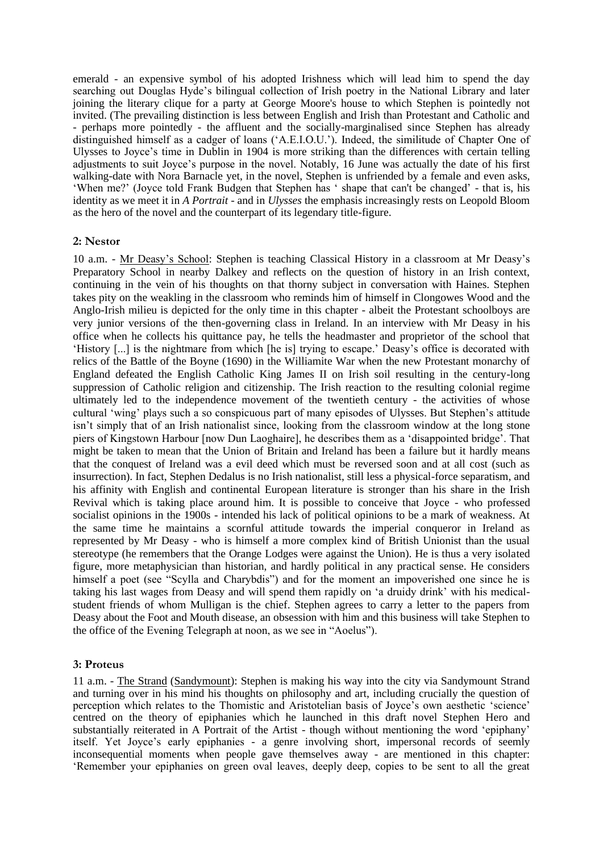emerald - an expensive symbol of his adopted Irishness which will lead him to spend the day searching out Douglas Hyde's bilingual collection of Irish poetry in the National Library and later joining the literary clique for a party at George Moore's house to which Stephen is pointedly not invited. (The prevailing distinction is less between English and Irish than Protestant and Catholic and - perhaps more pointedly - the affluent and the socially-marginalised since Stephen has already distinguished himself as a cadger of loans ('A.E.I.O.U.'). Indeed, the similitude of Chapter One of Ulysses to Joyce's time in Dublin in 1904 is more striking than the differences with certain telling adjustments to suit Joyce's purpose in the novel. Notably, 16 June was actually the date of his first walking-date with Nora Barnacle yet, in the novel, Stephen is unfriended by a female and even asks, 'When me?' (Joyce told Frank Budgen that Stephen has ' shape that can't be changed' - that is, his identity as we meet it in *A Portrait* - and in *Ulysses* the emphasis increasingly rests on Leopold Bloom as the hero of the novel and the counterpart of its legendary title-figure.

#### **2: Nestor**

10 a.m. - Mr Deasy's School: Stephen is teaching Classical History in a classroom at Mr Deasy's Preparatory School in nearby Dalkey and reflects on the question of history in an Irish context, continuing in the vein of his thoughts on that thorny subject in conversation with Haines. Stephen takes pity on the weakling in the classroom who reminds him of himself in Clongowes Wood and the Anglo-Irish milieu is depicted for the only time in this chapter - albeit the Protestant schoolboys are very junior versions of the then-governing class in Ireland. In an interview with Mr Deasy in his office when he collects his quittance pay, he tells the headmaster and proprietor of the school that 'History [...] is the nightmare from which [he is] trying to escape.' Deasy's office is decorated with relics of the Battle of the Boyne (1690) in the Williamite War when the new Protestant monarchy of England defeated the English Catholic King James II on Irish soil resulting in the century-long suppression of Catholic religion and citizenship. The Irish reaction to the resulting colonial regime ultimately led to the independence movement of the twentieth century - the activities of whose cultural 'wing' plays such a so conspicuous part of many episodes of Ulysses. But Stephen's attitude isn't simply that of an Irish nationalist since, looking from the classroom window at the long stone piers of Kingstown Harbour [now Dun Laoghaire], he describes them as a 'disappointed bridge'. That might be taken to mean that the Union of Britain and Ireland has been a failure but it hardly means that the conquest of Ireland was a evil deed which must be reversed soon and at all cost (such as insurrection). In fact, Stephen Dedalus is no Irish nationalist, still less a physical-force separatism, and his affinity with English and continental European literature is stronger than his share in the Irish Revival which is taking place around him. It is possible to conceive that Joyce - who professed socialist opinions in the 1900s - intended his lack of political opinions to be a mark of weakness. At the same time he maintains a scornful attitude towards the imperial conqueror in Ireland as represented by Mr Deasy - who is himself a more complex kind of British Unionist than the usual stereotype (he remembers that the Orange Lodges were against the Union). He is thus a very isolated figure, more metaphysician than historian, and hardly political in any practical sense. He considers himself a poet (see "Scylla and Charybdis") and for the moment an impoverished one since he is taking his last wages from Deasy and will spend them rapidly on 'a druidy drink' with his medicalstudent friends of whom Mulligan is the chief. Stephen agrees to carry a letter to the papers from Deasy about the Foot and Mouth disease, an obsession with him and this business will take Stephen to the office of the Evening Telegraph at noon, as we see in "Aoelus").

## **3: Proteus**

11 a.m. - The Strand (Sandymount): Stephen is making his way into the city via Sandymount Strand and turning over in his mind his thoughts on philosophy and art, including crucially the question of perception which relates to the Thomistic and Aristotelian basis of Joyce's own aesthetic 'science' centred on the theory of epiphanies which he launched in this draft novel Stephen Hero and substantially reiterated in A Portrait of the Artist - though without mentioning the word 'epiphany' itself. Yet Joyce's early epiphanies - a genre involving short, impersonal records of seemly inconsequential moments when people gave themselves away - are mentioned in this chapter: 'Remember your epiphanies on green oval leaves, deeply deep, copies to be sent to all the great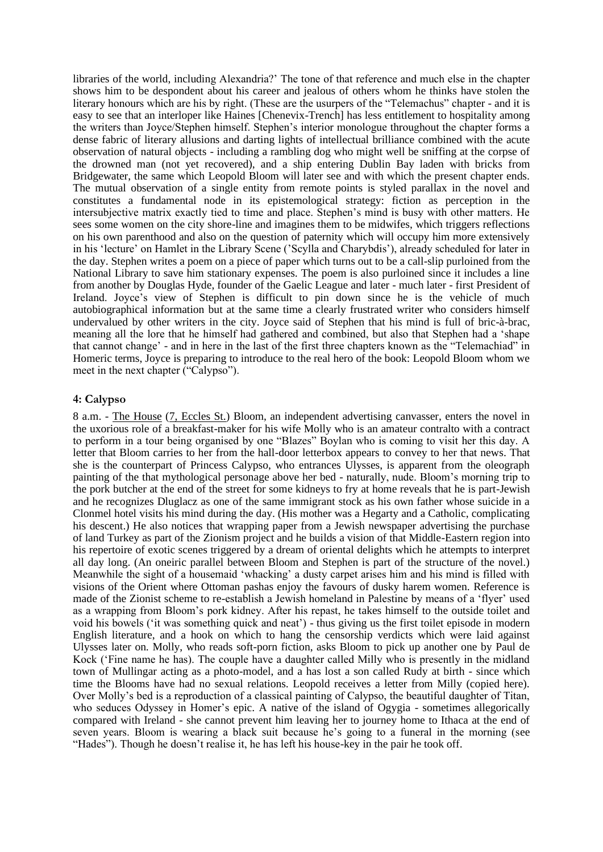libraries of the world, including Alexandria?' The tone of that reference and much else in the chapter shows him to be despondent about his career and jealous of others whom he thinks have stolen the literary honours which are his by right. (These are the usurpers of the "Telemachus" chapter - and it is easy to see that an interloper like Haines [Chenevix-Trench] has less entitlement to hospitality among the writers than Joyce/Stephen himself. Stephen's interior monologue throughout the chapter forms a dense fabric of literary allusions and darting lights of intellectual brilliance combined with the acute observation of natural objects - including a rambling dog who might well be sniffing at the corpse of the drowned man (not yet recovered), and a ship entering Dublin Bay laden with bricks from Bridgewater, the same which Leopold Bloom will later see and with which the present chapter ends. The mutual observation of a single entity from remote points is styled parallax in the novel and constitutes a fundamental node in its epistemological strategy: fiction as perception in the intersubjective matrix exactly tied to time and place. Stephen's mind is busy with other matters. He sees some women on the city shore-line and imagines them to be midwifes, which triggers reflections on his own parenthood and also on the question of paternity which will occupy him more extensively in his 'lecture' on Hamlet in the Library Scene ('Scylla and Charybdis'), already scheduled for later in the day. Stephen writes a poem on a piece of paper which turns out to be a call-slip purloined from the National Library to save him stationary expenses. The poem is also purloined since it includes a line from another by Douglas Hyde, founder of the Gaelic League and later - much later - first President of Ireland. Joyce's view of Stephen is difficult to pin down since he is the vehicle of much autobiographical information but at the same time a clearly frustrated writer who considers himself undervalued by other writers in the city. Joyce said of Stephen that his mind is full of bric-à-brac, meaning all the lore that he himself had gathered and combined, but also that Stephen had a 'shape that cannot change' - and in here in the last of the first three chapters known as the "Telemachiad" in Homeric terms, Joyce is preparing to introduce to the real hero of the book: Leopold Bloom whom we meet in the next chapter ("Calypso").

#### **4: Calypso**

8 a.m. - The House (7, Eccles St.) Bloom, an independent advertising canvasser, enters the novel in the uxorious role of a breakfast-maker for his wife Molly who is an amateur contralto with a contract to perform in a tour being organised by one "Blazes" Boylan who is coming to visit her this day. A letter that Bloom carries to her from the hall-door letterbox appears to convey to her that news. That she is the counterpart of Princess Calypso, who entrances Ulysses, is apparent from the oleograph painting of the that mythological personage above her bed - naturally, nude. Bloom's morning trip to the pork butcher at the end of the street for some kidneys to fry at home reveals that he is part-Jewish and he recognizes Dluglacz as one of the same immigrant stock as his own father whose suicide in a Clonmel hotel visits his mind during the day. (His mother was a Hegarty and a Catholic, complicating his descent.) He also notices that wrapping paper from a Jewish newspaper advertising the purchase of land Turkey as part of the Zionism project and he builds a vision of that Middle-Eastern region into his repertoire of exotic scenes triggered by a dream of oriental delights which he attempts to interpret all day long. (An oneiric parallel between Bloom and Stephen is part of the structure of the novel.) Meanwhile the sight of a housemaid 'whacking' a dusty carpet arises him and his mind is filled with visions of the Orient where Ottoman pashas enjoy the favours of dusky harem women. Reference is made of the Zionist scheme to re-establish a Jewish homeland in Palestine by means of a 'flyer' used as a wrapping from Bloom's pork kidney. After his repast, he takes himself to the outside toilet and void his bowels ('it was something quick and neat') - thus giving us the first toilet episode in modern English literature, and a hook on which to hang the censorship verdicts which were laid against Ulysses later on. Molly, who reads soft-porn fiction, asks Bloom to pick up another one by Paul de Kock ('Fine name he has). The couple have a daughter called Milly who is presently in the midland town of Mullingar acting as a photo-model, and a has lost a son called Rudy at birth - since which time the Blooms have had no sexual relations. Leopold receives a letter from Milly (copied here). Over Molly's bed is a reproduction of a classical painting of Calypso, the beautiful daughter of Titan, who seduces Odyssey in Homer's epic. A native of the island of Ogygia - sometimes allegorically compared with Ireland - she cannot prevent him leaving her to journey home to Ithaca at the end of seven years. Bloom is wearing a black suit because he's going to a funeral in the morning (see "Hades"). Though he doesn't realise it, he has left his house-key in the pair he took off.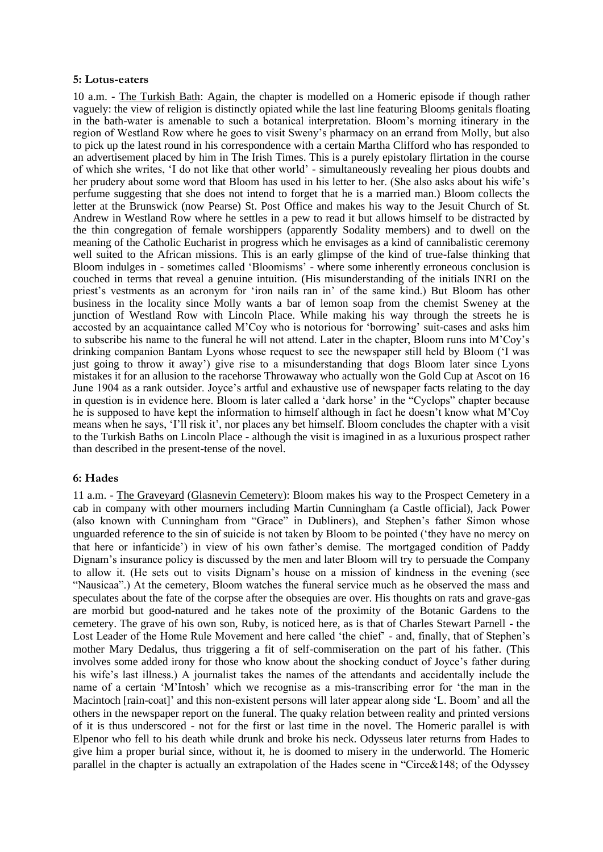#### **5: Lotus-eaters**

10 a.m. - The Turkish Bath: Again, the chapter is modelled on a Homeric episode if though rather vaguely: the view of religion is distinctly opiated while the last line featuring Blooms genitals floating in the bath-water is amenable to such a botanical interpretation. Bloom's morning itinerary in the region of Westland Row where he goes to visit Sweny's pharmacy on an errand from Molly, but also to pick up the latest round in his correspondence with a certain Martha Clifford who has responded to an advertisement placed by him in The Irish Times. This is a purely epistolary flirtation in the course of which she writes, 'I do not like that other world' - simultaneously revealing her pious doubts and her prudery about some word that Bloom has used in his letter to her. (She also asks about his wife's perfume suggesting that she does not intend to forget that he is a married man.) Bloom collects the letter at the Brunswick (now Pearse) St. Post Office and makes his way to the Jesuit Church of St. Andrew in Westland Row where he settles in a pew to read it but allows himself to be distracted by the thin congregation of female worshippers (apparently Sodality members) and to dwell on the meaning of the Catholic Eucharist in progress which he envisages as a kind of cannibalistic ceremony well suited to the African missions. This is an early glimpse of the kind of true-false thinking that Bloom indulges in - sometimes called 'Bloomisms' - where some inherently erroneous conclusion is couched in terms that reveal a genuine intuition. (His misunderstanding of the initials INRI on the priest's vestments as an acronym for 'iron nails ran in' of the same kind.) But Bloom has other business in the locality since Molly wants a bar of lemon soap from the chemist Sweney at the junction of Westland Row with Lincoln Place. While making his way through the streets he is accosted by an acquaintance called M'Coy who is notorious for 'borrowing' suit-cases and asks him to subscribe his name to the funeral he will not attend. Later in the chapter, Bloom runs into M'Coy's drinking companion Bantam Lyons whose request to see the newspaper still held by Bloom ('I was just going to throw it away') give rise to a misunderstanding that dogs Bloom later since Lyons mistakes it for an allusion to the racehorse Throwaway who actually won the Gold Cup at Ascot on 16 June 1904 as a rank outsider. Joyce's artful and exhaustive use of newspaper facts relating to the day in question is in evidence here. Bloom is later called a 'dark horse' in the "Cyclops" chapter because he is supposed to have kept the information to himself although in fact he doesn't know what M'Coy means when he says, 'I'll risk it', nor places any bet himself. Bloom concludes the chapter with a visit to the Turkish Baths on Lincoln Place - although the visit is imagined in as a luxurious prospect rather than described in the present-tense of the novel.

#### **6: Hades**

11 a.m. - The Graveyard (Glasnevin Cemetery): Bloom makes his way to the Prospect Cemetery in a cab in company with other mourners including Martin Cunningham (a Castle official), Jack Power (also known with Cunningham from "Grace" in Dubliners), and Stephen's father Simon whose unguarded reference to the sin of suicide is not taken by Bloom to be pointed ('they have no mercy on that here or infanticide') in view of his own father's demise. The mortgaged condition of Paddy Dignam's insurance policy is discussed by the men and later Bloom will try to persuade the Company to allow it. (He sets out to visits Dignam's house on a mission of kindness in the evening (see "Nausicaa".) At the cemetery, Bloom watches the funeral service much as he observed the mass and speculates about the fate of the corpse after the obsequies are over. His thoughts on rats and grave-gas are morbid but good-natured and he takes note of the proximity of the Botanic Gardens to the cemetery. The grave of his own son, Ruby, is noticed here, as is that of Charles Stewart Parnell - the Lost Leader of the Home Rule Movement and here called 'the chief' - and, finally, that of Stephen's mother Mary Dedalus, thus triggering a fit of self-commiseration on the part of his father. (This involves some added irony for those who know about the shocking conduct of Joyce's father during his wife's last illness.) A journalist takes the names of the attendants and accidentally include the name of a certain 'M'Intosh' which we recognise as a mis-transcribing error for 'the man in the Macintoch [rain-coat]' and this non-existent persons will later appear along side 'L. Boom' and all the others in the newspaper report on the funeral. The quaky relation between reality and printed versions of it is thus underscored - not for the first or last time in the novel. The Homeric parallel is with Elpenor who fell to his death while drunk and broke his neck. Odysseus later returns from Hades to give him a proper burial since, without it, he is doomed to misery in the underworld. The Homeric parallel in the chapter is actually an extrapolation of the Hades scene in "Circe&148; of the Odyssey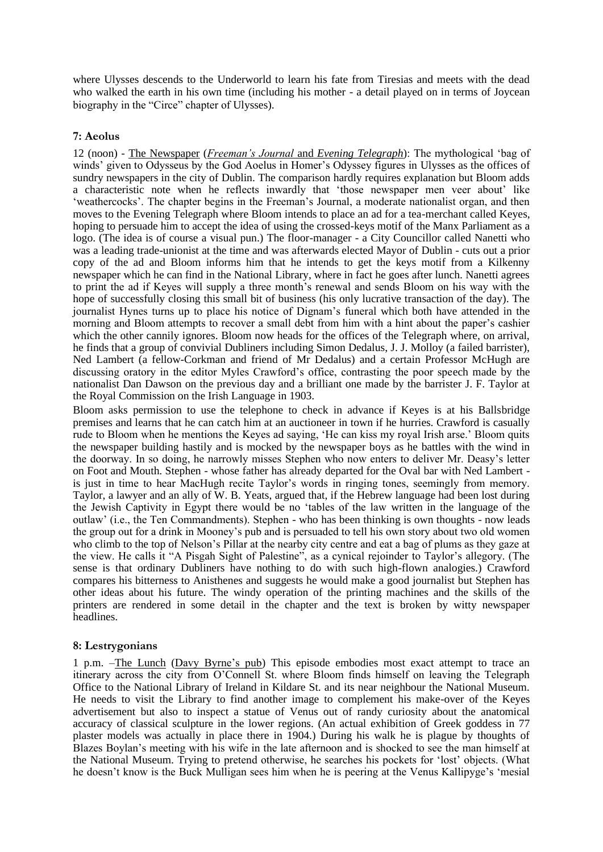where Ulysses descends to the Underworld to learn his fate from Tiresias and meets with the dead who walked the earth in his own time (including his mother - a detail played on in terms of Joycean biography in the "Circe" chapter of Ulysses).

# **7: Aeolus**

12 (noon) - The Newspaper (*Freeman's Journal* and *Evening Telegraph*): The mythological 'bag of winds' given to Odysseus by the God Aoelus in Homer's Odyssey figures in Ulysses as the offices of sundry newspapers in the city of Dublin. The comparison hardly requires explanation but Bloom adds a characteristic note when he reflects inwardly that 'those newspaper men veer about' like 'weathercocks'. The chapter begins in the Freeman's Journal, a moderate nationalist organ, and then moves to the Evening Telegraph where Bloom intends to place an ad for a tea-merchant called Keyes, hoping to persuade him to accept the idea of using the crossed-keys motif of the Manx Parliament as a logo. (The idea is of course a visual pun.) The floor-manager - a City Councillor called Nanetti who was a leading trade-unionist at the time and was afterwards elected Mayor of Dublin - cuts out a prior copy of the ad and Bloom informs him that he intends to get the keys motif from a Kilkenny newspaper which he can find in the National Library, where in fact he goes after lunch. Nanetti agrees to print the ad if Keyes will supply a three month's renewal and sends Bloom on his way with the hope of successfully closing this small bit of business (his only lucrative transaction of the day). The journalist Hynes turns up to place his notice of Dignam's funeral which both have attended in the morning and Bloom attempts to recover a small debt from him with a hint about the paper's cashier which the other cannily ignores. Bloom now heads for the offices of the Telegraph where, on arrival, he finds that a group of convivial Dubliners including Simon Dedalus, J. J. Molloy (a failed barrister), Ned Lambert (a fellow-Corkman and friend of Mr Dedalus) and a certain Professor McHugh are discussing oratory in the editor Myles Crawford's office, contrasting the poor speech made by the nationalist Dan Dawson on the previous day and a brilliant one made by the barrister J. F. Taylor at the Royal Commission on the Irish Language in 1903.

Bloom asks permission to use the telephone to check in advance if Keyes is at his Ballsbridge premises and learns that he can catch him at an auctioneer in town if he hurries. Crawford is casually rude to Bloom when he mentions the Keyes ad saying, 'He can kiss my royal Irish arse.' Bloom quits the newspaper building hastily and is mocked by the newspaper boys as he battles with the wind in the doorway. In so doing, he narrowly misses Stephen who now enters to deliver Mr. Deasy's letter on Foot and Mouth. Stephen - whose father has already departed for the Oval bar with Ned Lambert is just in time to hear MacHugh recite Taylor's words in ringing tones, seemingly from memory. Taylor, a lawyer and an ally of W. B. Yeats, argued that, if the Hebrew language had been lost during the Jewish Captivity in Egypt there would be no 'tables of the law written in the language of the outlaw' (i.e., the Ten Commandments). Stephen - who has been thinking is own thoughts - now leads the group out for a drink in Mooney's pub and is persuaded to tell his own story about two old women who climb to the top of Nelson's Pillar at the nearby city centre and eat a bag of plums as they gaze at the view. He calls it "A Pisgah Sight of Palestine", as a cynical rejoinder to Taylor's allegory. (The sense is that ordinary Dubliners have nothing to do with such high-flown analogies.) Crawford compares his bitterness to Anisthenes and suggests he would make a good journalist but Stephen has other ideas about his future. The windy operation of the printing machines and the skills of the printers are rendered in some detail in the chapter and the text is broken by witty newspaper headlines.

## **8: Lestrygonians**

1 p.m. –The Lunch (Davy Byrne's pub) This episode embodies most exact attempt to trace an itinerary across the city from O'Connell St. where Bloom finds himself on leaving the Telegraph Office to the National Library of Ireland in Kildare St. and its near neighbour the National Museum. He needs to visit the Library to find another image to complement his make-over of the Keyes advertisement but also to inspect a statue of Venus out of randy curiosity about the anatomical accuracy of classical sculpture in the lower regions. (An actual exhibition of Greek goddess in 77 plaster models was actually in place there in 1904.) During his walk he is plague by thoughts of Blazes Boylan's meeting with his wife in the late afternoon and is shocked to see the man himself at the National Museum. Trying to pretend otherwise, he searches his pockets for 'lost' objects. (What he doesn't know is the Buck Mulligan sees him when he is peering at the Venus Kallipyge's 'mesial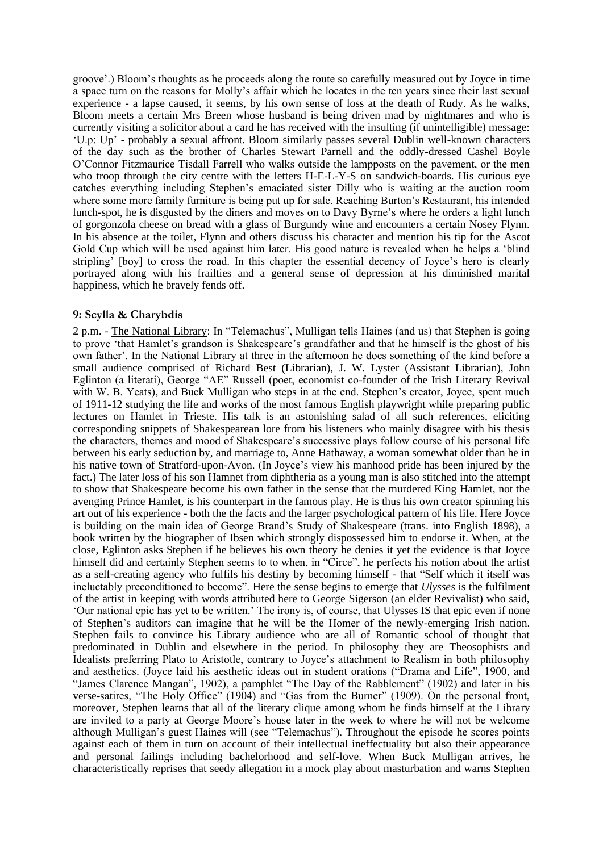groove'.) Bloom's thoughts as he proceeds along the route so carefully measured out by Joyce in time a space turn on the reasons for Molly's affair which he locates in the ten years since their last sexual experience - a lapse caused, it seems, by his own sense of loss at the death of Rudy. As he walks, Bloom meets a certain Mrs Breen whose husband is being driven mad by nightmares and who is currently visiting a solicitor about a card he has received with the insulting (if unintelligible) message: 'U.p: Up' - probably a sexual affront. Bloom similarly passes several Dublin well-known characters of the day such as the brother of Charles Stewart Parnell and the oddly-dressed Cashel Boyle O'Connor Fitzmaurice Tisdall Farrell who walks outside the lampposts on the pavement, or the men who troop through the city centre with the letters H-E-L-Y-S on sandwich-boards. His curious eye catches everything including Stephen's emaciated sister Dilly who is waiting at the auction room where some more family furniture is being put up for sale. Reaching Burton's Restaurant, his intended lunch-spot, he is disgusted by the diners and moves on to Davy Byrne's where he orders a light lunch of gorgonzola cheese on bread with a glass of Burgundy wine and encounters a certain Nosey Flynn. In his absence at the toilet, Flynn and others discuss his character and mention his tip for the Ascot Gold Cup which will be used against him later. His good nature is revealed when he helps a 'blind stripling' [boy] to cross the road. In this chapter the essential decency of Joyce's hero is clearly portrayed along with his frailties and a general sense of depression at his diminished marital happiness, which he bravely fends off.

## **9: Scylla & Charybdis**

2 p.m. - The National Library: In "Telemachus", Mulligan tells Haines (and us) that Stephen is going to prove 'that Hamlet's grandson is Shakespeare's grandfather and that he himself is the ghost of his own father'. In the National Library at three in the afternoon he does something of the kind before a small audience comprised of Richard Best (Librarian), J. W. Lyster (Assistant Librarian), John Eglinton (a literati), George "AE" Russell (poet, economist co-founder of the Irish Literary Revival with W. B. Yeats), and Buck Mulligan who steps in at the end. Stephen's creator, Joyce, spent much of 1911-12 studying the life and works of the most famous English playwright while preparing public lectures on Hamlet in Trieste. His talk is an astonishing salad of all such references, eliciting corresponding snippets of Shakespearean lore from his listeners who mainly disagree with his thesis the characters, themes and mood of Shakespeare's successive plays follow course of his personal life between his early seduction by, and marriage to, Anne Hathaway, a woman somewhat older than he in his native town of Stratford-upon-Avon. (In Joyce's view his manhood pride has been injured by the fact.) The later loss of his son Hamnet from diphtheria as a young man is also stitched into the attempt to show that Shakespeare become his own father in the sense that the murdered King Hamlet, not the avenging Prince Hamlet, is his counterpart in the famous play. He is thus his own creator spinning his art out of his experience - both the the facts and the larger psychological pattern of his life. Here Joyce is building on the main idea of George Brand's Study of Shakespeare (trans. into English 1898), a book written by the biographer of Ibsen which strongly dispossessed him to endorse it. When, at the close, Eglinton asks Stephen if he believes his own theory he denies it yet the evidence is that Joyce himself did and certainly Stephen seems to to when, in "Circe", he perfects his notion about the artist as a self-creating agency who fulfils his destiny by becoming himself - that "Self which it itself was ineluctably preconditioned to become". Here the sense begins to emerge that *Ulysses* is the fulfilment of the artist in keeping with words attributed here to George Sigerson (an elder Revivalist) who said, 'Our national epic has yet to be written.' The irony is, of course, that Ulysses IS that epic even if none of Stephen's auditors can imagine that he will be the Homer of the newly-emerging Irish nation. Stephen fails to convince his Library audience who are all of Romantic school of thought that predominated in Dublin and elsewhere in the period. In philosophy they are Theosophists and Idealists preferring Plato to Aristotle, contrary to Joyce's attachment to Realism in both philosophy and aesthetics. (Joyce laid his aesthetic ideas out in student orations ("Drama and Life", 1900, and "James Clarence Mangan", 1902), a pamphlet "The Day of the Rabblement" (1902) and later in his verse-satires, "The Holy Office" (1904) and "Gas from the Burner" (1909). On the personal front, moreover, Stephen learns that all of the literary clique among whom he finds himself at the Library are invited to a party at George Moore's house later in the week to where he will not be welcome although Mulligan's guest Haines will (see "Telemachus"). Throughout the episode he scores points against each of them in turn on account of their intellectual ineffectuality but also their appearance and personal failings including bachelorhood and self-love. When Buck Mulligan arrives, he characteristically reprises that seedy allegation in a mock play about masturbation and warns Stephen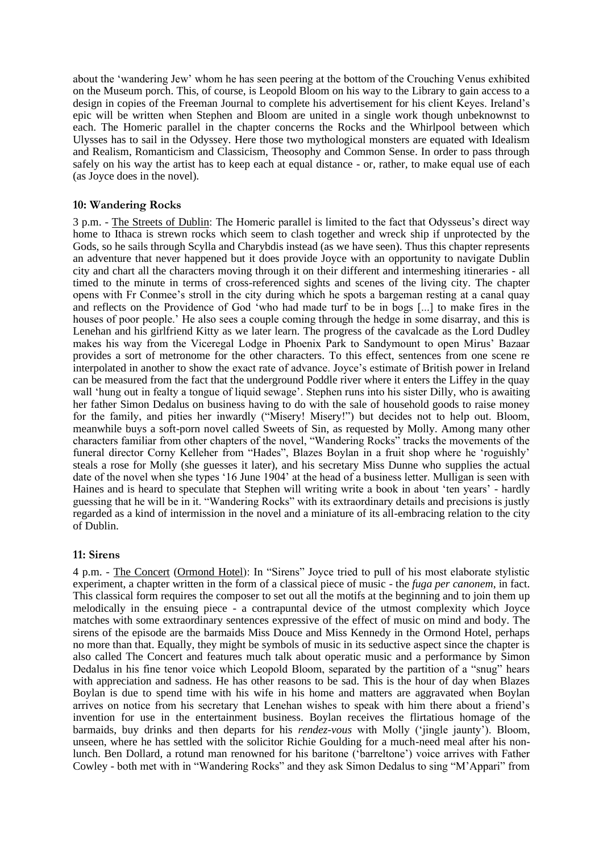about the 'wandering Jew' whom he has seen peering at the bottom of the Crouching Venus exhibited on the Museum porch. This, of course, is Leopold Bloom on his way to the Library to gain access to a design in copies of the Freeman Journal to complete his advertisement for his client Keyes. Ireland's epic will be written when Stephen and Bloom are united in a single work though unbeknownst to each. The Homeric parallel in the chapter concerns the Rocks and the Whirlpool between which Ulysses has to sail in the Odyssey. Here those two mythological monsters are equated with Idealism and Realism, Romanticism and Classicism, Theosophy and Common Sense. In order to pass through safely on his way the artist has to keep each at equal distance - or, rather, to make equal use of each (as Joyce does in the novel).

#### **10: Wandering Rocks**

3 p.m. - The Streets of Dublin: The Homeric parallel is limited to the fact that Odysseus's direct way home to Ithaca is strewn rocks which seem to clash together and wreck ship if unprotected by the Gods, so he sails through Scylla and Charybdis instead (as we have seen). Thus this chapter represents an adventure that never happened but it does provide Joyce with an opportunity to navigate Dublin city and chart all the characters moving through it on their different and intermeshing itineraries - all timed to the minute in terms of cross-referenced sights and scenes of the living city. The chapter opens with Fr Conmee's stroll in the city during which he spots a bargeman resting at a canal quay and reflects on the Providence of God 'who had made turf to be in bogs [...] to make fires in the houses of poor people.' He also sees a couple coming through the hedge in some disarray, and this is Lenehan and his girlfriend Kitty as we later learn. The progress of the cavalcade as the Lord Dudley makes his way from the Viceregal Lodge in Phoenix Park to Sandymount to open Mirus' Bazaar provides a sort of metronome for the other characters. To this effect, sentences from one scene re interpolated in another to show the exact rate of advance. Joyce's estimate of British power in Ireland can be measured from the fact that the underground Poddle river where it enters the Liffey in the quay wall 'hung out in fealty a tongue of liquid sewage'. Stephen runs into his sister Dilly, who is awaiting her father Simon Dedalus on business having to do with the sale of household goods to raise money for the family, and pities her inwardly ("Misery! Misery!") but decides not to help out. Bloom, meanwhile buys a soft-porn novel called Sweets of Sin, as requested by Molly. Among many other characters familiar from other chapters of the novel, "Wandering Rocks" tracks the movements of the funeral director Corny Kelleher from "Hades", Blazes Boylan in a fruit shop where he 'roguishly' steals a rose for Molly (she guesses it later), and his secretary Miss Dunne who supplies the actual date of the novel when she types '16 June 1904' at the head of a business letter. Mulligan is seen with Haines and is heard to speculate that Stephen will writing write a book in about 'ten years' - hardly guessing that he will be in it. "Wandering Rocks" with its extraordinary details and precisions is justly regarded as a kind of intermission in the novel and a miniature of its all-embracing relation to the city of Dublin.

#### **11: Sirens**

4 p.m. - The Concert (Ormond Hotel): In "Sirens" Joyce tried to pull of his most elaborate stylistic experiment, a chapter written in the form of a classical piece of music - the *fuga per canonem*, in fact. This classical form requires the composer to set out all the motifs at the beginning and to join them up melodically in the ensuing piece - a contrapuntal device of the utmost complexity which Joyce matches with some extraordinary sentences expressive of the effect of music on mind and body. The sirens of the episode are the barmaids Miss Douce and Miss Kennedy in the Ormond Hotel, perhaps no more than that. Equally, they might be symbols of music in its seductive aspect since the chapter is also called The Concert and features much talk about operatic music and a performance by Simon Dedalus in his fine tenor voice which Leopold Bloom, separated by the partition of a "snug" hears with appreciation and sadness. He has other reasons to be sad. This is the hour of day when Blazes Boylan is due to spend time with his wife in his home and matters are aggravated when Boylan arrives on notice from his secretary that Lenehan wishes to speak with him there about a friend's invention for use in the entertainment business. Boylan receives the flirtatious homage of the barmaids, buy drinks and then departs for his *rendez-vous* with Molly ('jingle jaunty'). Bloom, unseen, where he has settled with the solicitor Richie Goulding for a much-need meal after his nonlunch. Ben Dollard, a rotund man renowned for his baritone ('barreltone') voice arrives with Father Cowley - both met with in "Wandering Rocks" and they ask Simon Dedalus to sing "M'Appari" from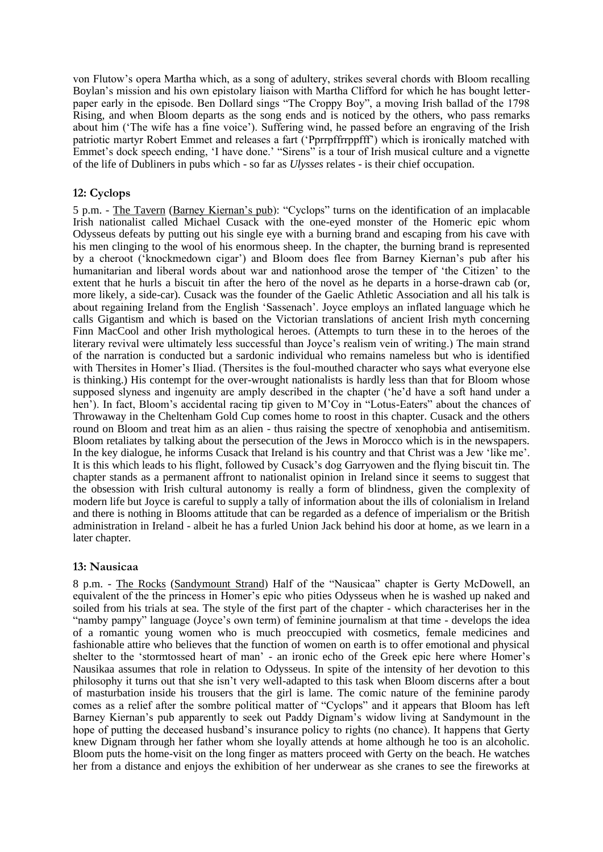von Flutow's opera Martha which, as a song of adultery, strikes several chords with Bloom recalling Boylan's mission and his own epistolary liaison with Martha Clifford for which he has bought letterpaper early in the episode. Ben Dollard sings "The Croppy Boy", a moving Irish ballad of the 1798 Rising, and when Bloom departs as the song ends and is noticed by the others, who pass remarks about him ('The wife has a fine voice'). Suffering wind, he passed before an engraving of the Irish patriotic martyr Robert Emmet and releases a fart ('Pprrpffrrppfff') which is ironically matched with Emmet's dock speech ending, 'I have done.' "Sirens" is a tour of Irish musical culture and a vignette of the life of Dubliners in pubs which - so far as *Ulysses* relates - is their chief occupation.

## **12: Cyclops**

5 p.m. - The Tavern (Barney Kiernan's pub): "Cyclops" turns on the identification of an implacable Irish nationalist called Michael Cusack with the one-eyed monster of the Homeric epic whom Odysseus defeats by putting out his single eye with a burning brand and escaping from his cave with his men clinging to the wool of his enormous sheep. In the chapter, the burning brand is represented by a cheroot ('knockmedown cigar') and Bloom does flee from Barney Kiernan's pub after his humanitarian and liberal words about war and nationhood arose the temper of 'the Citizen' to the extent that he hurls a biscuit tin after the hero of the novel as he departs in a horse-drawn cab (or, more likely, a side-car). Cusack was the founder of the Gaelic Athletic Association and all his talk is about regaining Ireland from the English 'Sassenach'. Joyce employs an inflated language which he calls Gigantism and which is based on the Victorian translations of ancient Irish myth concerning Finn MacCool and other Irish mythological heroes. (Attempts to turn these in to the heroes of the literary revival were ultimately less successful than Joyce's realism vein of writing.) The main strand of the narration is conducted but a sardonic individual who remains nameless but who is identified with Thersites in Homer's Iliad. (Thersites is the foul-mouthed character who says what everyone else is thinking.) His contempt for the over-wrought nationalists is hardly less than that for Bloom whose supposed slyness and ingenuity are amply described in the chapter ('he'd have a soft hand under a hen'). In fact, Bloom's accidental racing tip given to M'Coy in "Lotus-Eaters" about the chances of Throwaway in the Cheltenham Gold Cup comes home to roost in this chapter. Cusack and the others round on Bloom and treat him as an alien - thus raising the spectre of xenophobia and antisemitism. Bloom retaliates by talking about the persecution of the Jews in Morocco which is in the newspapers. In the key dialogue, he informs Cusack that Ireland is his country and that Christ was a Jew 'like me'. It is this which leads to his flight, followed by Cusack's dog Garryowen and the flying biscuit tin. The chapter stands as a permanent affront to nationalist opinion in Ireland since it seems to suggest that the obsession with Irish cultural autonomy is really a form of blindness, given the complexity of modern life but Joyce is careful to supply a tally of information about the ills of colonialism in Ireland and there is nothing in Blooms attitude that can be regarded as a defence of imperialism or the British administration in Ireland - albeit he has a furled Union Jack behind his door at home, as we learn in a later chapter.

## **13: Nausicaa**

8 p.m. - The Rocks (Sandymount Strand) Half of the "Nausicaa" chapter is Gerty McDowell, an equivalent of the the princess in Homer's epic who pities Odysseus when he is washed up naked and soiled from his trials at sea. The style of the first part of the chapter - which characterises her in the "namby pampy" language (Joyce's own term) of feminine journalism at that time - develops the idea of a romantic young women who is much preoccupied with cosmetics, female medicines and fashionable attire who believes that the function of women on earth is to offer emotional and physical shelter to the 'stormtossed heart of man' - an ironic echo of the Greek epic here where Homer's Nausikaa assumes that role in relation to Odysseus. In spite of the intensity of her devotion to this philosophy it turns out that she isn't very well-adapted to this task when Bloom discerns after a bout of masturbation inside his trousers that the girl is lame. The comic nature of the feminine parody comes as a relief after the sombre political matter of "Cyclops" and it appears that Bloom has left Barney Kiernan's pub apparently to seek out Paddy Dignam's widow living at Sandymount in the hope of putting the deceased husband's insurance policy to rights (no chance). It happens that Gerty knew Dignam through her father whom she loyally attends at home although he too is an alcoholic. Bloom puts the home-visit on the long finger as matters proceed with Gerty on the beach. He watches her from a distance and enjoys the exhibition of her underwear as she cranes to see the fireworks at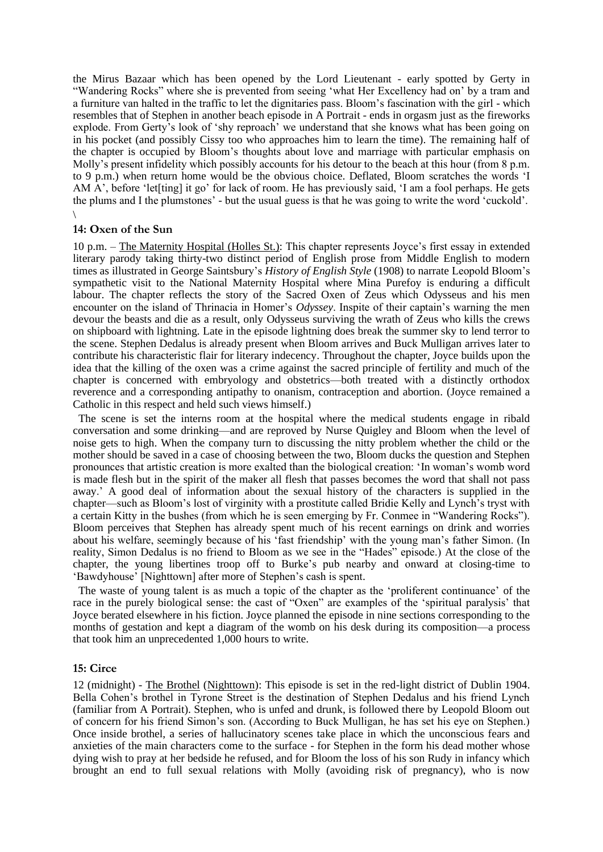the Mirus Bazaar which has been opened by the Lord Lieutenant - early spotted by Gerty in "Wandering Rocks" where she is prevented from seeing 'what Her Excellency had on' by a tram and a furniture van halted in the traffic to let the dignitaries pass. Bloom's fascination with the girl - which resembles that of Stephen in another beach episode in A Portrait - ends in orgasm just as the fireworks explode. From Gerty's look of 'shy reproach' we understand that she knows what has been going on in his pocket (and possibly Cissy too who approaches him to learn the time). The remaining half of the chapter is occupied by Bloom's thoughts about love and marriage with particular emphasis on Molly's present infidelity which possibly accounts for his detour to the beach at this hour (from 8 p.m. to 9 p.m.) when return home would be the obvious choice. Deflated, Bloom scratches the words 'I AM A', before 'let[ting] it go' for lack of room. He has previously said, 'I am a fool perhaps. He gets the plums and I the plumstones' - but the usual guess is that he was going to write the word 'cuckold'.

\

#### **14: Oxen of the Sun**

10 p.m. – The Maternity Hospital (Holles St.): This chapter represents Joyce's first essay in extended literary parody taking thirty-two distinct period of English prose from Middle English to modern times as illustrated in George Saintsbury's *History of English Style* (1908) to narrate Leopold Bloom's sympathetic visit to the National Maternity Hospital where Mina Purefoy is enduring a difficult labour. The chapter reflects the story of the Sacred Oxen of Zeus which Odysseus and his men encounter on the island of Thrinacia in Homer's *Odyssey*. Inspite of their captain's warning the men devour the beasts and die as a result, only Odysseus surviving the wrath of Zeus who kills the crews on shipboard with lightning. Late in the episode lightning does break the summer sky to lend terror to the scene. Stephen Dedalus is already present when Bloom arrives and Buck Mulligan arrives later to contribute his characteristic flair for literary indecency. Throughout the chapter, Joyce builds upon the idea that the killing of the oxen was a crime against the sacred principle of fertility and much of the chapter is concerned with embryology and obstetrics—both treated with a distinctly orthodox reverence and a corresponding antipathy to onanism, contraception and abortion. (Joyce remained a Catholic in this respect and held such views himself.)

 The scene is set the interns room at the hospital where the medical students engage in ribald conversation and some drinking—and are reproved by Nurse Quigley and Bloom when the level of noise gets to high. When the company turn to discussing the nitty problem whether the child or the mother should be saved in a case of choosing between the two, Bloom ducks the question and Stephen pronounces that artistic creation is more exalted than the biological creation: 'In woman's womb word is made flesh but in the spirit of the maker all flesh that passes becomes the word that shall not pass away.' A good deal of information about the sexual history of the characters is supplied in the chapter—such as Bloom's lost of virginity with a prostitute called Bridie Kelly and Lynch's tryst with a certain Kitty in the bushes (from which he is seen emerging by Fr. Conmee in "Wandering Rocks"). Bloom perceives that Stephen has already spent much of his recent earnings on drink and worries about his welfare, seemingly because of his 'fast friendship' with the young man's father Simon. (In reality, Simon Dedalus is no friend to Bloom as we see in the "Hades" episode.) At the close of the chapter, the young libertines troop off to Burke's pub nearby and onward at closing-time to 'Bawdyhouse' [Nighttown] after more of Stephen's cash is spent.

 The waste of young talent is as much a topic of the chapter as the 'proliferent continuance' of the race in the purely biological sense: the cast of "Oxen" are examples of the 'spiritual paralysis' that Joyce berated elsewhere in his fiction. Joyce planned the episode in nine sections corresponding to the months of gestation and kept a diagram of the womb on his desk during its composition—a process that took him an unprecedented 1,000 hours to write.

#### **15: Circe**

12 (midnight) - The Brothel (Nighttown): This episode is set in the red-light district of Dublin 1904. Bella Cohen's brothel in Tyrone Street is the destination of Stephen Dedalus and his friend Lynch (familiar from A Portrait). Stephen, who is unfed and drunk, is followed there by Leopold Bloom out of concern for his friend Simon's son. (According to Buck Mulligan, he has set his eye on Stephen.) Once inside brothel, a series of hallucinatory scenes take place in which the unconscious fears and anxieties of the main characters come to the surface - for Stephen in the form his dead mother whose dying wish to pray at her bedside he refused, and for Bloom the loss of his son Rudy in infancy which brought an end to full sexual relations with Molly (avoiding risk of pregnancy), who is now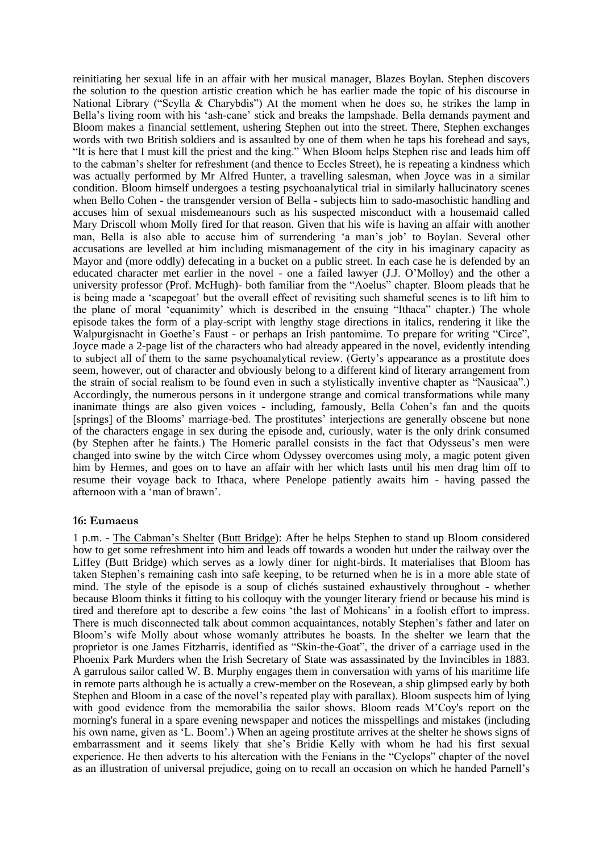reinitiating her sexual life in an affair with her musical manager, Blazes Boylan. Stephen discovers the solution to the question artistic creation which he has earlier made the topic of his discourse in National Library ("Scylla & Charybdis") At the moment when he does so, he strikes the lamp in Bella's living room with his 'ash-cane' stick and breaks the lampshade. Bella demands payment and Bloom makes a financial settlement, ushering Stephen out into the street. There, Stephen exchanges words with two British soldiers and is assaulted by one of them when he taps his forehead and says, "It is here that I must kill the priest and the king." When Bloom helps Stephen rise and leads him off to the cabman's shelter for refreshment (and thence to Eccles Street), he is repeating a kindness which was actually performed by Mr Alfred Hunter, a travelling salesman, when Joyce was in a similar condition. Bloom himself undergoes a testing psychoanalytical trial in similarly hallucinatory scenes when Bello Cohen - the transgender version of Bella - subjects him to sado-masochistic handling and accuses him of sexual misdemeanours such as his suspected misconduct with a housemaid called Mary Driscoll whom Molly fired for that reason. Given that his wife is having an affair with another man, Bella is also able to accuse him of surrendering 'a man's job' to Boylan. Several other accusations are levelled at him including mismanagement of the city in his imaginary capacity as Mayor and (more oddly) defecating in a bucket on a public street. In each case he is defended by an educated character met earlier in the novel - one a failed lawyer (J.J. O'Molloy) and the other a university professor (Prof. McHugh)- both familiar from the "Aoelus" chapter. Bloom pleads that he is being made a 'scapegoat' but the overall effect of revisiting such shameful scenes is to lift him to the plane of moral 'equanimity' which is described in the ensuing "Ithaca" chapter.) The whole episode takes the form of a play-script with lengthy stage directions in italics, rendering it like the Walpurgisnacht in Goethe's Faust - or perhaps an Irish pantomime. To prepare for writing "Circe", Joyce made a 2-page list of the characters who had already appeared in the novel, evidently intending to subject all of them to the same psychoanalytical review. (Gerty's appearance as a prostitute does seem, however, out of character and obviously belong to a different kind of literary arrangement from the strain of social realism to be found even in such a stylistically inventive chapter as "Nausicaa".) Accordingly, the numerous persons in it undergone strange and comical transformations while many inanimate things are also given voices - including, famously, Bella Cohen's fan and the quoits [springs] of the Blooms' marriage-bed. The prostitutes' interjections are generally obscene but none of the characters engage in sex during the episode and, curiously, water is the only drink consumed (by Stephen after he faints.) The Homeric parallel consists in the fact that Odysseus's men were changed into swine by the witch Circe whom Odyssey overcomes using moly, a magic potent given him by Hermes, and goes on to have an affair with her which lasts until his men drag him off to resume their voyage back to Ithaca, where Penelope patiently awaits him - having passed the afternoon with a 'man of brawn'.

## **16: Eumaeus**

1 p.m. - The Cabman's Shelter (Butt Bridge): After he helps Stephen to stand up Bloom considered how to get some refreshment into him and leads off towards a wooden hut under the railway over the Liffey (Butt Bridge) which serves as a lowly diner for night-birds. It materialises that Bloom has taken Stephen's remaining cash into safe keeping, to be returned when he is in a more able state of mind. The style of the episode is a soup of clichés sustained exhaustively throughout - whether because Bloom thinks it fitting to his colloquy with the younger literary friend or because his mind is tired and therefore apt to describe a few coins 'the last of Mohicans' in a foolish effort to impress. There is much disconnected talk about common acquaintances, notably Stephen's father and later on Bloom's wife Molly about whose womanly attributes he boasts. In the shelter we learn that the proprietor is one James Fitzharris, identified as "Skin-the-Goat", the driver of a carriage used in the Phoenix Park Murders when the Irish Secretary of State was assassinated by the Invincibles in 1883. A garrulous sailor called W. B. Murphy engages them in conversation with yarns of his maritime life in remote parts although he is actually a crew-member on the Rosevean, a ship glimpsed early by both Stephen and Bloom in a case of the novel's repeated play with parallax). Bloom suspects him of lying with good evidence from the memorabilia the sailor shows. Bloom reads M'Coy's report on the morning's funeral in a spare evening newspaper and notices the misspellings and mistakes (including his own name, given as 'L. Boom'.) When an ageing prostitute arrives at the shelter he shows signs of embarrassment and it seems likely that she's Bridie Kelly with whom he had his first sexual experience. He then adverts to his altercation with the Fenians in the "Cyclops" chapter of the novel as an illustration of universal prejudice, going on to recall an occasion on which he handed Parnell's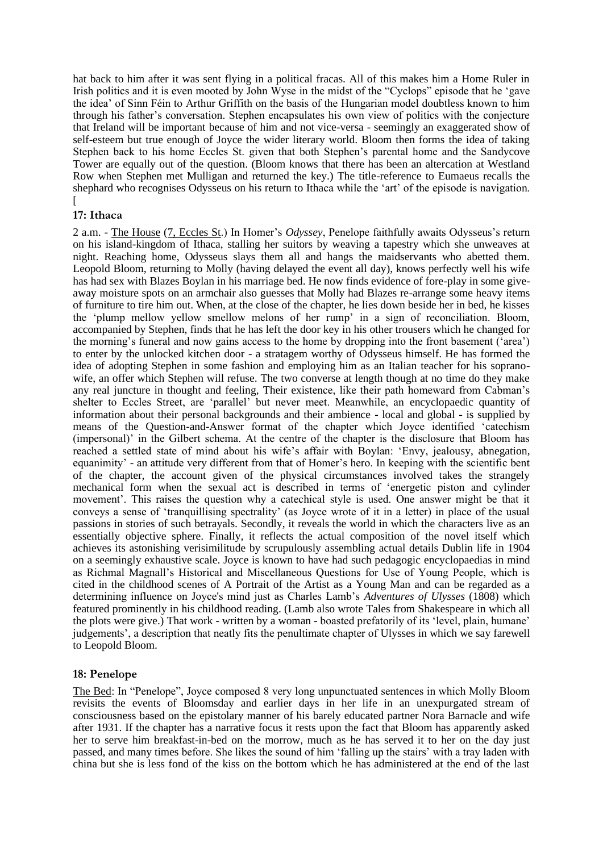hat back to him after it was sent flying in a political fracas. All of this makes him a Home Ruler in Irish politics and it is even mooted by John Wyse in the midst of the "Cyclops" episode that he 'gave the idea' of Sinn Féin to Arthur Griffith on the basis of the Hungarian model doubtless known to him through his father's conversation. Stephen encapsulates his own view of politics with the conjecture that Ireland will be important because of him and not vice-versa - seemingly an exaggerated show of self-esteem but true enough of Joyce the wider literary world. Bloom then forms the idea of taking Stephen back to his home Eccles St. given that both Stephen's parental home and the Sandycove Tower are equally out of the question. (Bloom knows that there has been an altercation at Westland Row when Stephen met Mulligan and returned the key.) The title-reference to Eumaeus recalls the shephard who recognises Odysseus on his return to Ithaca while the 'art' of the episode is navigation.  $\overline{1}$ 

# **17: Ithaca**

2 a.m. - The House (7, Eccles St.) In Homer's *Odyssey*, Penelope faithfully awaits Odysseus's return on his island-kingdom of Ithaca, stalling her suitors by weaving a tapestry which she unweaves at night. Reaching home, Odysseus slays them all and hangs the maidservants who abetted them. Leopold Bloom, returning to Molly (having delayed the event all day), knows perfectly well his wife has had sex with Blazes Boylan in his marriage bed. He now finds evidence of fore-play in some giveaway moisture spots on an armchair also guesses that Molly had Blazes re-arrange some heavy items of furniture to tire him out. When, at the close of the chapter, he lies down beside her in bed, he kisses the 'plump mellow yellow smellow melons of her rump' in a sign of reconciliation. Bloom, accompanied by Stephen, finds that he has left the door key in his other trousers which he changed for the morning's funeral and now gains access to the home by dropping into the front basement ('area') to enter by the unlocked kitchen door - a stratagem worthy of Odysseus himself. He has formed the idea of adopting Stephen in some fashion and employing him as an Italian teacher for his sopranowife, an offer which Stephen will refuse. The two converse at length though at no time do they make any real juncture in thought and feeling, Their existence, like their path homeward from Cabman's shelter to Eccles Street, are 'parallel' but never meet. Meanwhile, an encyclopaedic quantity of information about their personal backgrounds and their ambience - local and global - is supplied by means of the Question-and-Answer format of the chapter which Joyce identified 'catechism (impersonal)' in the Gilbert schema. At the centre of the chapter is the disclosure that Bloom has reached a settled state of mind about his wife's affair with Boylan: 'Envy, jealousy, abnegation, equanimity' - an attitude very different from that of Homer's hero. In keeping with the scientific bent of the chapter, the account given of the physical circumstances involved takes the strangely mechanical form when the sexual act is described in terms of 'energetic piston and cylinder movement'. This raises the question why a catechical style is used. One answer might be that it conveys a sense of 'tranquillising spectrality' (as Joyce wrote of it in a letter) in place of the usual passions in stories of such betrayals. Secondly, it reveals the world in which the characters live as an essentially objective sphere. Finally, it reflects the actual composition of the novel itself which achieves its astonishing verisimilitude by scrupulously assembling actual details Dublin life in 1904 on a seemingly exhaustive scale. Joyce is known to have had such pedagogic encyclopaedias in mind as Richmal Magnall's Historical and Miscellaneous Questions for Use of Young People, which is cited in the childhood scenes of A Portrait of the Artist as a Young Man and can be regarded as a determining influence on Joyce's mind just as Charles Lamb's *Adventures of Ulysses* (1808) which featured prominently in his childhood reading. (Lamb also wrote Tales from Shakespeare in which all the plots were give.) That work - written by a woman - boasted prefatorily of its 'level, plain, humane' judgements', a description that neatly fits the penultimate chapter of Ulysses in which we say farewell to Leopold Bloom.

## **18: Penelope**

The Bed: In "Penelope", Joyce composed 8 very long unpunctuated sentences in which Molly Bloom revisits the events of Bloomsday and earlier days in her life in an unexpurgated stream of consciousness based on the epistolary manner of his barely educated partner Nora Barnacle and wife after 1931. If the chapter has a narrative focus it rests upon the fact that Bloom has apparently asked her to serve him breakfast-in-bed on the morrow, much as he has served it to her on the day just passed, and many times before. She likes the sound of him 'falling up the stairs' with a tray laden with china but she is less fond of the kiss on the bottom which he has administered at the end of the last